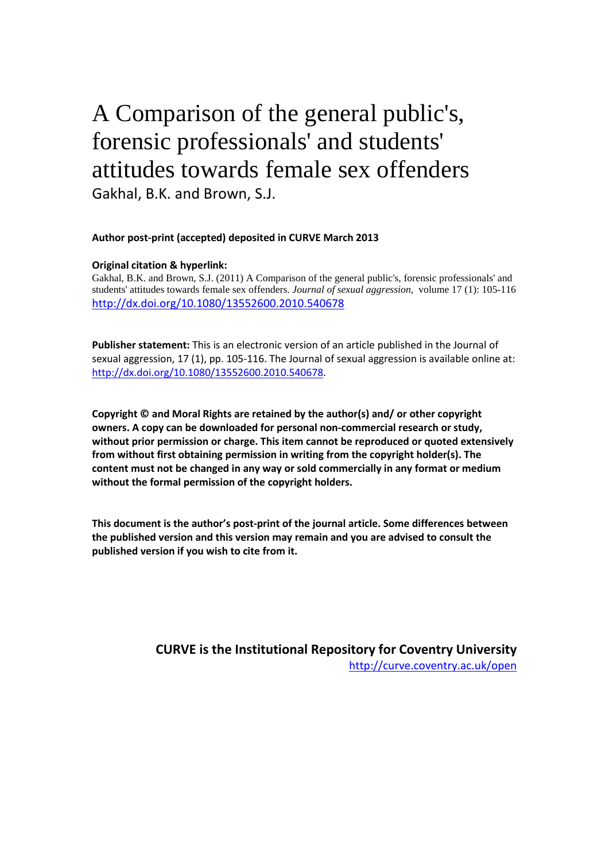# A Comparison of the general public's, forensic professionals' and students' attitudes towards female sex offenders Gakhal, B.K. and Brown, S.J.

## **Author post-print (accepted) deposited in CURVE March 2013**

#### **Original citation & hyperlink:**

Gakhal, B.K. and Brown, S.J. (2011) A Comparison of the general public's, forensic professionals' and students' attitudes towards female sex offenders. *Journal of sexual aggression,* volume 17 (1): 105-116 <http://dx.doi.org/10.1080/13552600.2010.540678>

**Publisher statement:** This is an electronic version of an article published in the Journal of sexual aggression, 17 (1), pp. 105-116. The Journal of sexual aggression is available online at: [http://dx.doi.org/10.1080/13552600.2010.540678.](http://dx.doi.org/10.1080/13552600.2010.540678)

**Copyright © and Moral Rights are retained by the author(s) and/ or other copyright owners. A copy can be downloaded for personal non-commercial research or study, without prior permission or charge. This item cannot be reproduced or quoted extensively from without first obtaining permission in writing from the copyright holder(s). The content must not be changed in any way or sold commercially in any format or medium without the formal permission of the copyright holders.** 

**This document is the author's post-print of the journal article. Some differences between the published version and this version may remain and you are advised to consult the published version if you wish to cite from it.** 

> **CURVE is the Institutional Repository for Coventry University** <http://curve.coventry.ac.uk/open>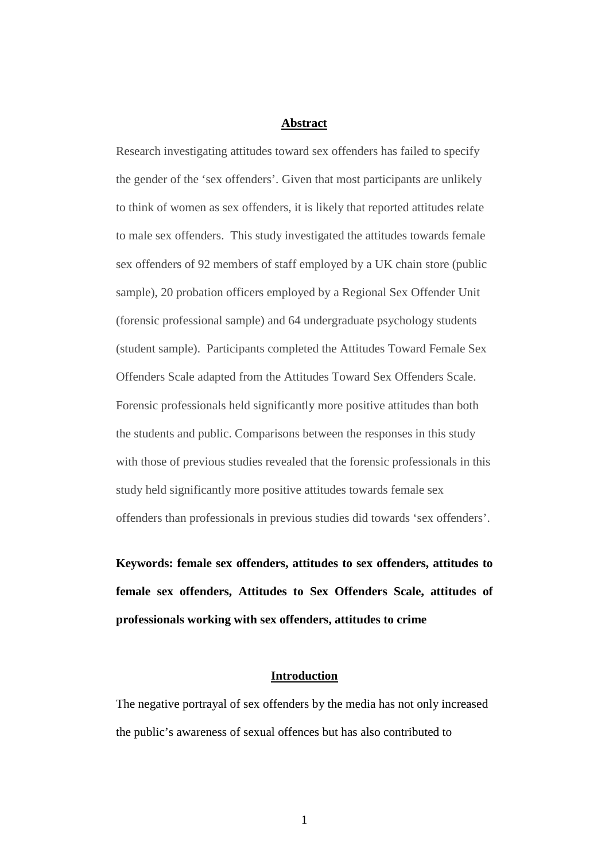#### **Abstract**

Research investigating attitudes toward sex offenders has failed to specify the gender of the 'sex offenders'. Given that most participants are unlikely to think of women as sex offenders, it is likely that reported attitudes relate to male sex offenders. This study investigated the attitudes towards female sex offenders of 92 members of staff employed by a UK chain store (public sample), 20 probation officers employed by a Regional Sex Offender Unit (forensic professional sample) and 64 undergraduate psychology students (student sample). Participants completed the Attitudes Toward Female Sex Offenders Scale adapted from the Attitudes Toward Sex Offenders Scale. Forensic professionals held significantly more positive attitudes than both the students and public. Comparisons between the responses in this study with those of previous studies revealed that the forensic professionals in this study held significantly more positive attitudes towards female sex offenders than professionals in previous studies did towards 'sex offenders'.

**Keywords: female sex offenders, attitudes to sex offenders, attitudes to female sex offenders, Attitudes to Sex Offenders Scale, attitudes of professionals working with sex offenders, attitudes to crime**

# **Introduction**

The negative portrayal of sex offenders by the media has not only increased the public's awareness of sexual offences but has also contributed to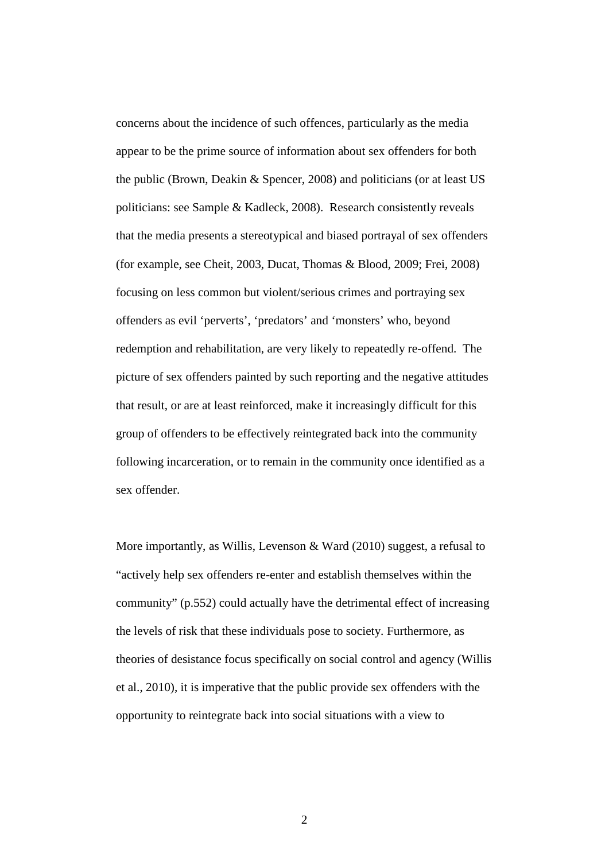concerns about the incidence of such offences, particularly as the media appear to be the prime source of information about sex offenders for both the public (Brown, Deakin & Spencer, 2008) and politicians (or at least US politicians: see Sample & Kadleck, 2008). Research consistently reveals that the media presents a stereotypical and biased portrayal of sex offenders (for example, see Cheit, 2003, Ducat, Thomas & Blood, 2009; Frei, 2008) focusing on less common but violent/serious crimes and portraying sex offenders as evil 'perverts', 'predators' and 'monsters' who, beyond redemption and rehabilitation, are very likely to repeatedly re-offend. The picture of sex offenders painted by such reporting and the negative attitudes that result, or are at least reinforced, make it increasingly difficult for this group of offenders to be effectively reintegrated back into the community following incarceration, or to remain in the community once identified as a sex offender.

More importantly, as Willis, Levenson & Ward (2010) suggest, a refusal to "actively help sex offenders re-enter and establish themselves within the community" (p.552) could actually have the detrimental effect of increasing the levels of risk that these individuals pose to society. Furthermore, as theories of desistance focus specifically on social control and agency (Willis et al., 2010), it is imperative that the public provide sex offenders with the opportunity to reintegrate back into social situations with a view to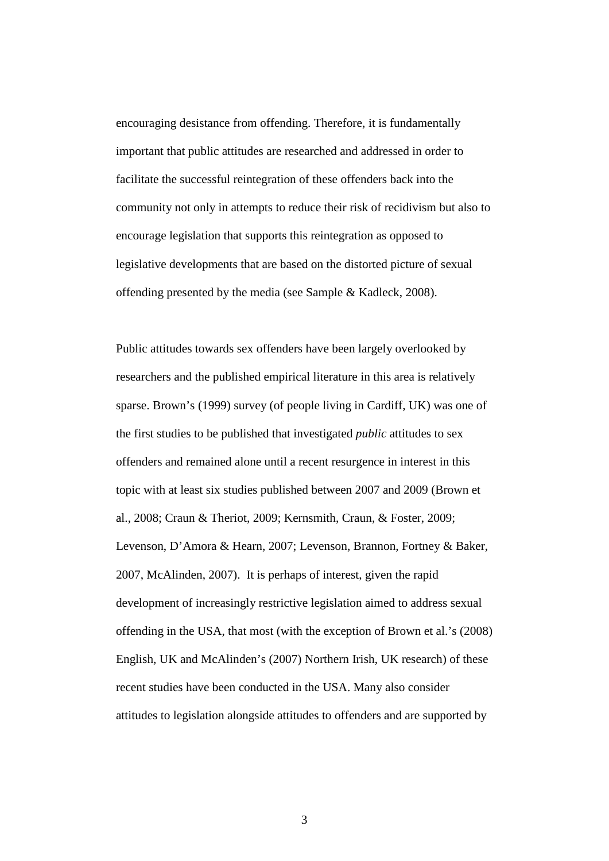encouraging desistance from offending. Therefore, it is fundamentally important that public attitudes are researched and addressed in order to facilitate the successful reintegration of these offenders back into the community not only in attempts to reduce their risk of recidivism but also to encourage legislation that supports this reintegration as opposed to legislative developments that are based on the distorted picture of sexual offending presented by the media (see Sample & Kadleck, 2008).

Public attitudes towards sex offenders have been largely overlooked by researchers and the published empirical literature in this area is relatively sparse. Brown's (1999) survey (of people living in Cardiff, UK) was one of the first studies to be published that investigated *public* attitudes to sex offenders and remained alone until a recent resurgence in interest in this topic with at least six studies published between 2007 and 2009 (Brown et al., 2008; Craun & Theriot, 2009; Kernsmith, Craun, & Foster, 2009; Levenson, D'Amora & Hearn, 2007; Levenson, Brannon, Fortney & Baker, 2007, McAlinden, 2007). It is perhaps of interest, given the rapid development of increasingly restrictive legislation aimed to address sexual offending in the USA, that most (with the exception of Brown et al.'s (2008) English, UK and McAlinden's (2007) Northern Irish, UK research) of these recent studies have been conducted in the USA. Many also consider attitudes to legislation alongside attitudes to offenders and are supported by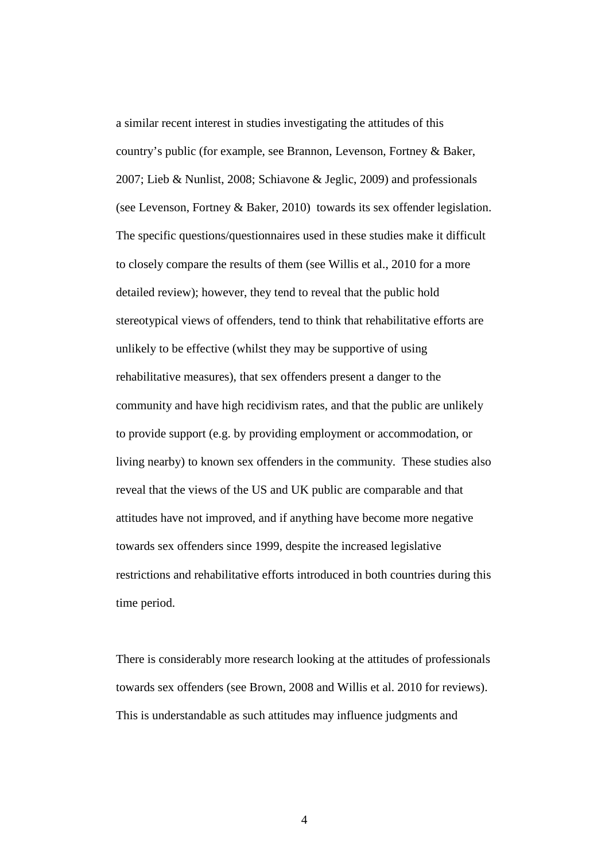a similar recent interest in studies investigating the attitudes of this country's public (for example, see Brannon, Levenson, Fortney & Baker, 2007; Lieb & Nunlist, 2008; Schiavone & Jeglic, 2009) and professionals (see Levenson, Fortney & Baker, 2010) towards its sex offender legislation. The specific questions/questionnaires used in these studies make it difficult to closely compare the results of them (see Willis et al., 2010 for a more detailed review); however, they tend to reveal that the public hold stereotypical views of offenders, tend to think that rehabilitative efforts are unlikely to be effective (whilst they may be supportive of using rehabilitative measures), that sex offenders present a danger to the community and have high recidivism rates, and that the public are unlikely to provide support (e.g. by providing employment or accommodation, or living nearby) to known sex offenders in the community. These studies also reveal that the views of the US and UK public are comparable and that attitudes have not improved, and if anything have become more negative towards sex offenders since 1999, despite the increased legislative restrictions and rehabilitative efforts introduced in both countries during this time period.

There is considerably more research looking at the attitudes of professionals towards sex offenders (see Brown, 2008 and Willis et al. 2010 for reviews). This is understandable as such attitudes may influence judgments and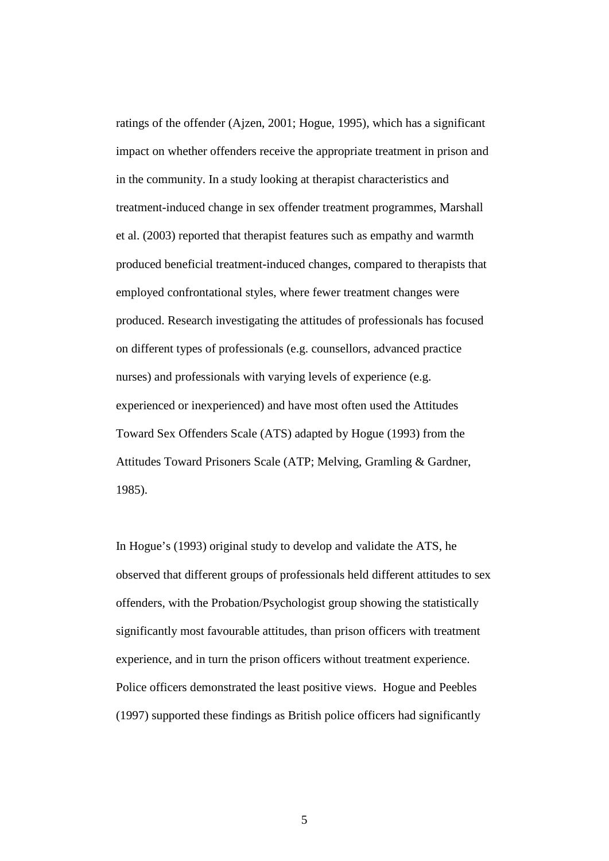ratings of the offender (Ajzen, 2001; Hogue, 1995), which has a significant impact on whether offenders receive the appropriate treatment in prison and in the community. In a study looking at therapist characteristics and treatment-induced change in sex offender treatment programmes, Marshall et al. (2003) reported that therapist features such as empathy and warmth produced beneficial treatment-induced changes, compared to therapists that employed confrontational styles, where fewer treatment changes were produced. Research investigating the attitudes of professionals has focused on different types of professionals (e.g. counsellors, advanced practice nurses) and professionals with varying levels of experience (e.g. experienced or inexperienced) and have most often used the Attitudes Toward Sex Offenders Scale (ATS) adapted by Hogue (1993) from the Attitudes Toward Prisoners Scale (ATP; Melving, Gramling & Gardner, 1985).

In Hogue's (1993) original study to develop and validate the ATS, he observed that different groups of professionals held different attitudes to sex offenders, with the Probation/Psychologist group showing the statistically significantly most favourable attitudes, than prison officers with treatment experience, and in turn the prison officers without treatment experience. Police officers demonstrated the least positive views. Hogue and Peebles (1997) supported these findings as British police officers had significantly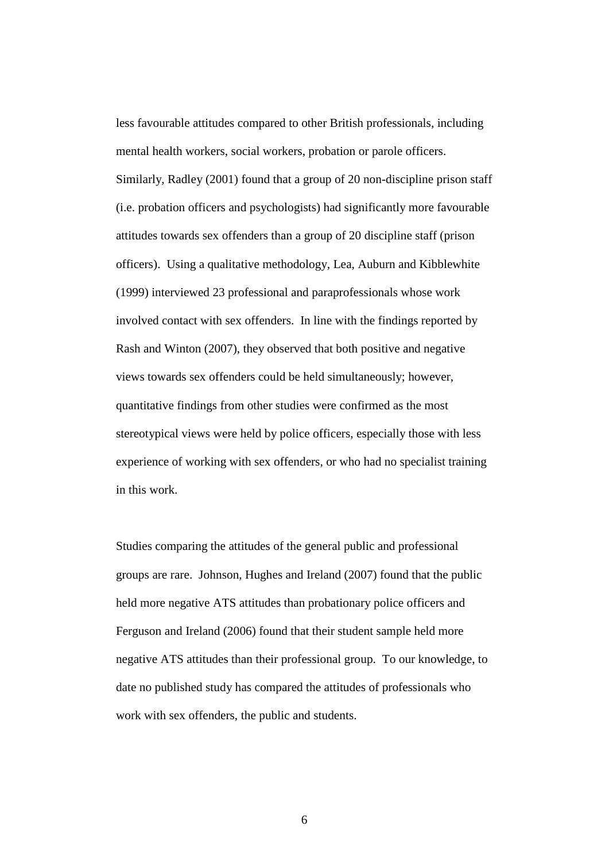less favourable attitudes compared to other British professionals, including mental health workers, social workers, probation or parole officers. Similarly, Radley (2001) found that a group of 20 non-discipline prison staff (i.e. probation officers and psychologists) had significantly more favourable attitudes towards sex offenders than a group of 20 discipline staff (prison officers). Using a qualitative methodology, Lea, Auburn and Kibblewhite (1999) interviewed 23 professional and paraprofessionals whose work involved contact with sex offenders. In line with the findings reported by Rash and Winton (2007), they observed that both positive and negative views towards sex offenders could be held simultaneously; however, quantitative findings from other studies were confirmed as the most stereotypical views were held by police officers, especially those with less experience of working with sex offenders, or who had no specialist training in this work.

Studies comparing the attitudes of the general public and professional groups are rare. Johnson, Hughes and Ireland (2007) found that the public held more negative ATS attitudes than probationary police officers and Ferguson and Ireland (2006) found that their student sample held more negative ATS attitudes than their professional group. To our knowledge, to date no published study has compared the attitudes of professionals who work with sex offenders, the public and students.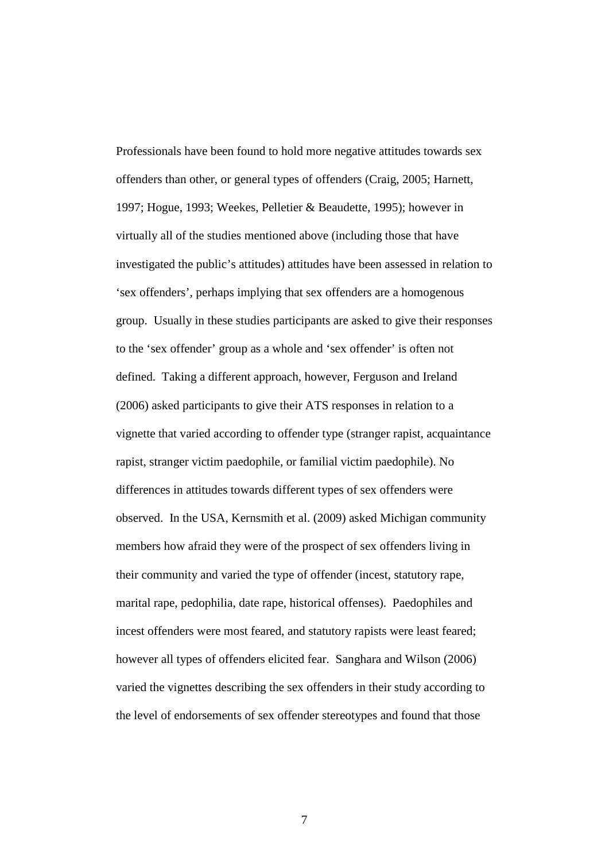Professionals have been found to hold more negative attitudes towards sex offenders than other, or general types of offenders (Craig, 2005; Harnett, 1997; Hogue, 1993; Weekes, Pelletier & Beaudette, 1995); however in virtually all of the studies mentioned above (including those that have investigated the public's attitudes) attitudes have been assessed in relation to 'sex offenders', perhaps implying that sex offenders are a homogenous group. Usually in these studies participants are asked to give their responses to the 'sex offender' group as a whole and 'sex offender' is often not defined. Taking a different approach, however, Ferguson and Ireland (2006) asked participants to give their ATS responses in relation to a vignette that varied according to offender type (stranger rapist, acquaintance rapist, stranger victim paedophile, or familial victim paedophile). No differences in attitudes towards different types of sex offenders were observed. In the USA, Kernsmith et al. (2009) asked Michigan community members how afraid they were of the prospect of sex offenders living in their community and varied the type of offender (incest, statutory rape, marital rape, pedophilia, date rape, historical offenses). Paedophiles and incest offenders were most feared, and statutory rapists were least feared; however all types of offenders elicited fear. Sanghara and Wilson (2006) varied the vignettes describing the sex offenders in their study according to the level of endorsements of sex offender stereotypes and found that those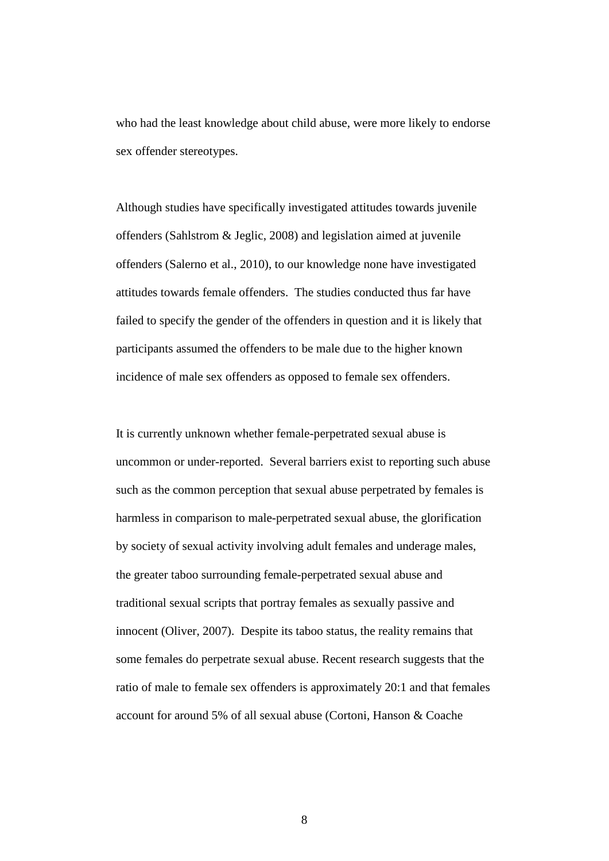who had the least knowledge about child abuse, were more likely to endorse sex offender stereotypes.

Although studies have specifically investigated attitudes towards juvenile offenders (Sahlstrom & Jeglic, 2008) and legislation aimed at juvenile offenders (Salerno et al., 2010), to our knowledge none have investigated attitudes towards female offenders. The studies conducted thus far have failed to specify the gender of the offenders in question and it is likely that participants assumed the offenders to be male due to the higher known incidence of male sex offenders as opposed to female sex offenders.

It is currently unknown whether female-perpetrated sexual abuse is uncommon or under-reported. Several barriers exist to reporting such abuse such as the common perception that sexual abuse perpetrated by females is harmless in comparison to male-perpetrated sexual abuse, the glorification by society of sexual activity involving adult females and underage males, the greater taboo surrounding female-perpetrated sexual abuse and traditional sexual scripts that portray females as sexually passive and innocent (Oliver, 2007). Despite its taboo status, the reality remains that some females do perpetrate sexual abuse. Recent research suggests that the ratio of male to female sex offenders is approximately 20:1 and that females account for around 5% of all sexual abuse (Cortoni, Hanson & Coache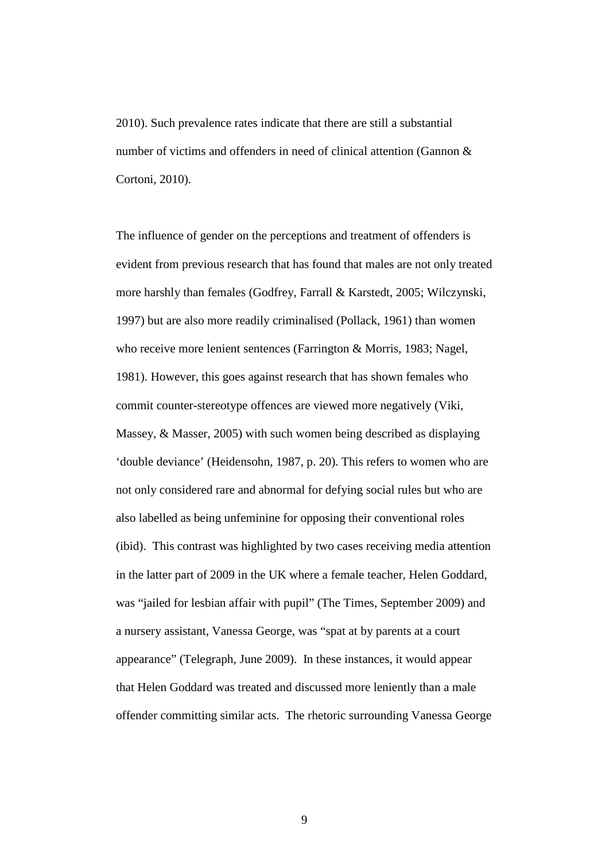2010). Such prevalence rates indicate that there are still a substantial number of victims and offenders in need of clinical attention (Gannon & Cortoni, 2010).

The influence of gender on the perceptions and treatment of offenders is evident from previous research that has found that males are not only treated more harshly than females (Godfrey, Farrall & Karstedt, 2005; Wilczynski, 1997) but are also more readily criminalised (Pollack, 1961) than women who receive more lenient sentences (Farrington & Morris, 1983; Nagel, 1981). However, this goes against research that has shown females who commit counter-stereotype offences are viewed more negatively (Viki, Massey, & Masser, 2005) with such women being described as displaying 'double deviance' (Heidensohn, 1987, p. 20). This refers to women who are not only considered rare and abnormal for defying social rules but who are also labelled as being unfeminine for opposing their conventional roles (ibid). This contrast was highlighted by two cases receiving media attention in the latter part of 2009 in the UK where a female teacher, Helen Goddard, was "jailed for lesbian affair with pupil" (The Times, September 2009) and a nursery assistant, Vanessa George, was "spat at by parents at a court appearance" (Telegraph, June 2009). In these instances, it would appear that Helen Goddard was treated and discussed more leniently than a male offender committing similar acts. The rhetoric surrounding Vanessa George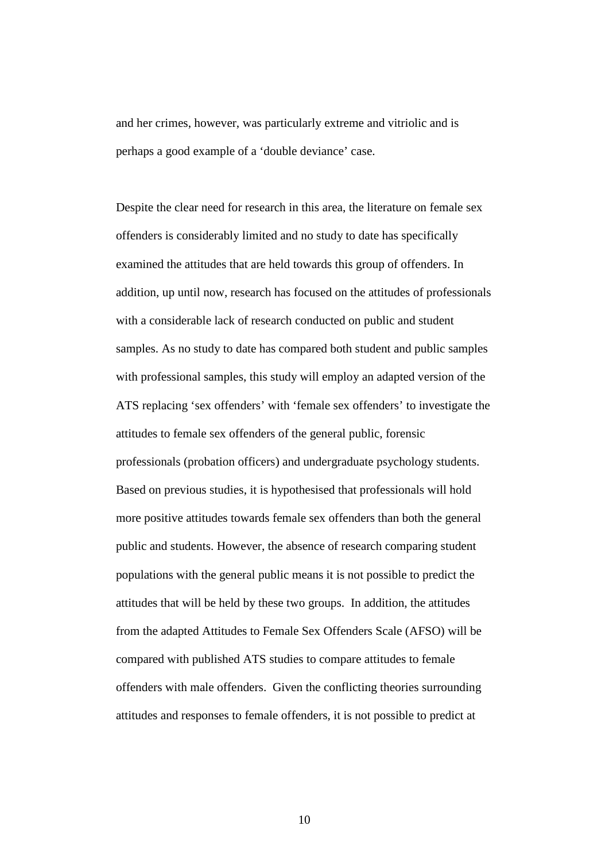and her crimes, however, was particularly extreme and vitriolic and is perhaps a good example of a 'double deviance' case.

Despite the clear need for research in this area, the literature on female sex offenders is considerably limited and no study to date has specifically examined the attitudes that are held towards this group of offenders. In addition, up until now, research has focused on the attitudes of professionals with a considerable lack of research conducted on public and student samples. As no study to date has compared both student and public samples with professional samples, this study will employ an adapted version of the ATS replacing 'sex offenders' with 'female sex offenders' to investigate the attitudes to female sex offenders of the general public, forensic professionals (probation officers) and undergraduate psychology students. Based on previous studies, it is hypothesised that professionals will hold more positive attitudes towards female sex offenders than both the general public and students. However, the absence of research comparing student populations with the general public means it is not possible to predict the attitudes that will be held by these two groups. In addition, the attitudes from the adapted Attitudes to Female Sex Offenders Scale (AFSO) will be compared with published ATS studies to compare attitudes to female offenders with male offenders. Given the conflicting theories surrounding attitudes and responses to female offenders, it is not possible to predict at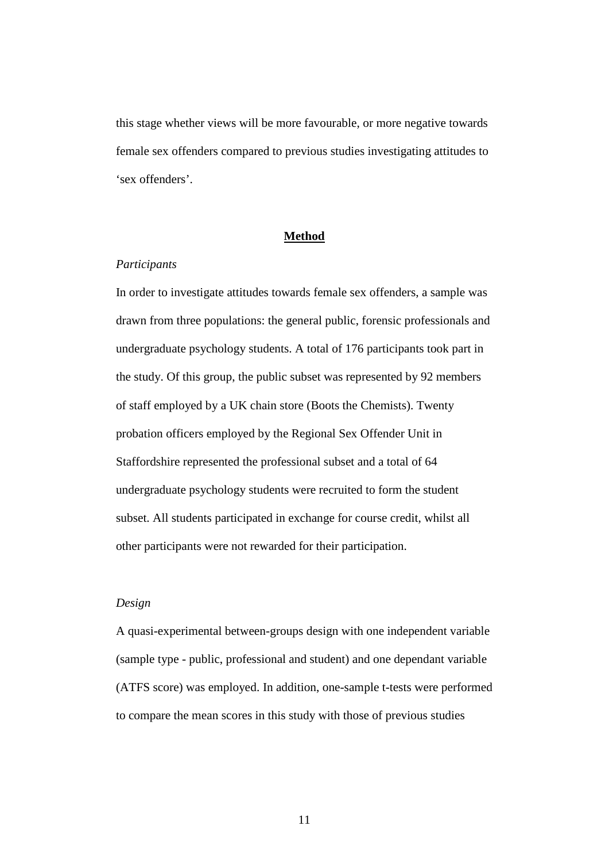this stage whether views will be more favourable, or more negative towards female sex offenders compared to previous studies investigating attitudes to 'sex offenders'.

## **Method**

#### *Participants*

In order to investigate attitudes towards female sex offenders, a sample was drawn from three populations: the general public, forensic professionals and undergraduate psychology students. A total of 176 participants took part in the study. Of this group, the public subset was represented by 92 members of staff employed by a UK chain store (Boots the Chemists). Twenty probation officers employed by the Regional Sex Offender Unit in Staffordshire represented the professional subset and a total of 64 undergraduate psychology students were recruited to form the student subset. All students participated in exchange for course credit, whilst all other participants were not rewarded for their participation.

# *Design*

A quasi-experimental between-groups design with one independent variable (sample type - public, professional and student) and one dependant variable (ATFS score) was employed. In addition, one-sample t-tests were performed to compare the mean scores in this study with those of previous studies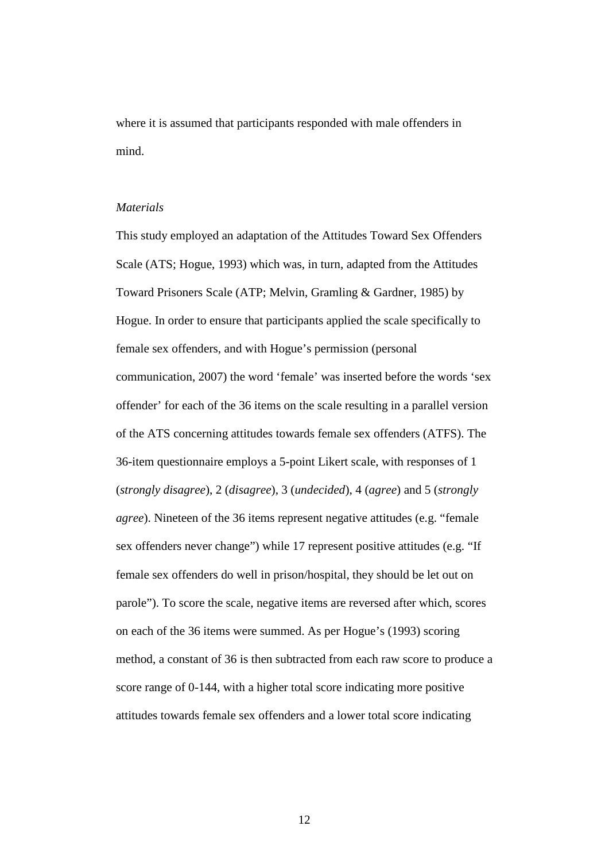where it is assumed that participants responded with male offenders in mind.

# *Materials*

This study employed an adaptation of the Attitudes Toward Sex Offenders Scale (ATS; Hogue, 1993) which was, in turn, adapted from the Attitudes Toward Prisoners Scale (ATP; Melvin, Gramling & Gardner, 1985) by Hogue. In order to ensure that participants applied the scale specifically to female sex offenders, and with Hogue's permission (personal communication, 2007) the word 'female' was inserted before the words 'sex offender' for each of the 36 items on the scale resulting in a parallel version of the ATS concerning attitudes towards female sex offenders (ATFS). The 36-item questionnaire employs a 5-point Likert scale, with responses of 1 (*strongly disagree*), 2 (*disagree*), 3 (*undecided*), 4 (*agree*) and 5 (*strongly agree*). Nineteen of the 36 items represent negative attitudes (e.g. "female sex offenders never change") while 17 represent positive attitudes (e.g. "If female sex offenders do well in prison/hospital, they should be let out on parole"). To score the scale, negative items are reversed after which, scores on each of the 36 items were summed. As per Hogue's (1993) scoring method, a constant of 36 is then subtracted from each raw score to produce a score range of 0-144, with a higher total score indicating more positive attitudes towards female sex offenders and a lower total score indicating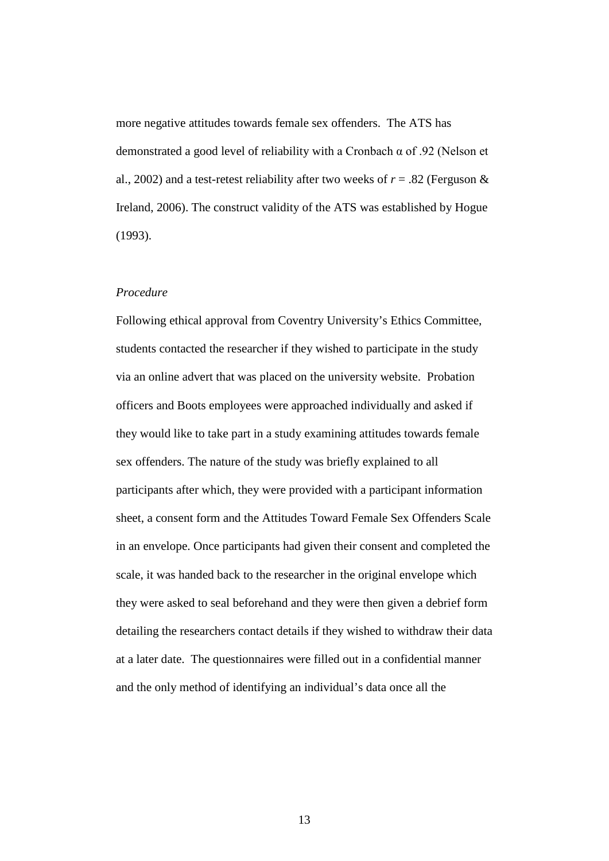more negative attitudes towards female sex offenders. The ATS has demonstrated a good level of reliability with a Cronbach α of .92 (Nelson et al., 2002) and a test-retest reliability after two weeks of  $r = .82$  (Ferguson & Ireland, 2006). The construct validity of the ATS was established by Hogue (1993).

#### *Procedure*

Following ethical approval from Coventry University's Ethics Committee, students contacted the researcher if they wished to participate in the study via an online advert that was placed on the university website. Probation officers and Boots employees were approached individually and asked if they would like to take part in a study examining attitudes towards female sex offenders. The nature of the study was briefly explained to all participants after which, they were provided with a participant information sheet, a consent form and the Attitudes Toward Female Sex Offenders Scale in an envelope. Once participants had given their consent and completed the scale, it was handed back to the researcher in the original envelope which they were asked to seal beforehand and they were then given a debrief form detailing the researchers contact details if they wished to withdraw their data at a later date. The questionnaires were filled out in a confidential manner and the only method of identifying an individual's data once all the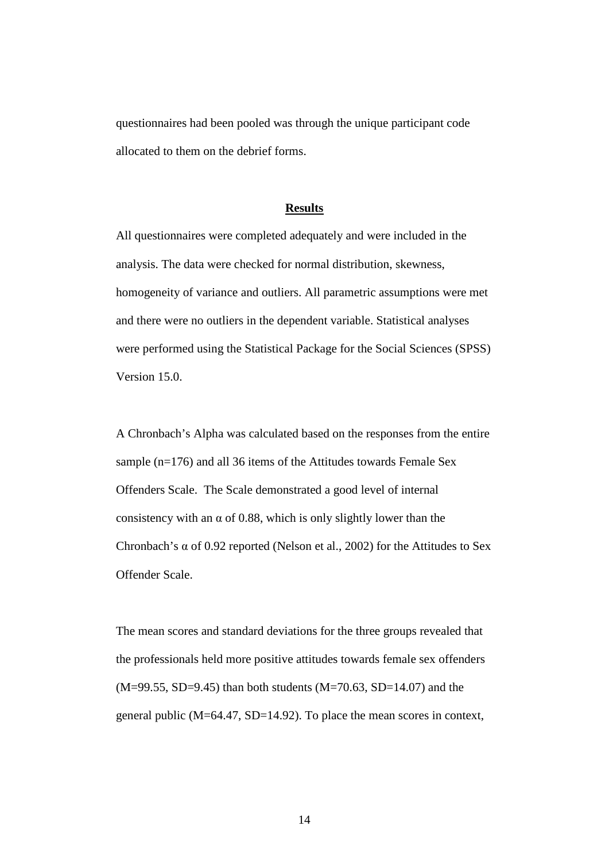questionnaires had been pooled was through the unique participant code allocated to them on the debrief forms.

## **Results**

All questionnaires were completed adequately and were included in the analysis. The data were checked for normal distribution, skewness, homogeneity of variance and outliers. All parametric assumptions were met and there were no outliers in the dependent variable. Statistical analyses were performed using the Statistical Package for the Social Sciences (SPSS) Version 15.0.

A Chronbach's Alpha was calculated based on the responses from the entire sample (n=176) and all 36 items of the Attitudes towards Female Sex Offenders Scale. The Scale demonstrated a good level of internal consistency with an  $\alpha$  of 0.88, which is only slightly lower than the Chronbach's  $\alpha$  of 0.92 reported (Nelson et al., 2002) for the Attitudes to Sex Offender Scale.

The mean scores and standard deviations for the three groups revealed that the professionals held more positive attitudes towards female sex offenders (M=99.55, SD=9.45) than both students (M=70.63, SD=14.07) and the general public (M=64.47, SD=14.92). To place the mean scores in context,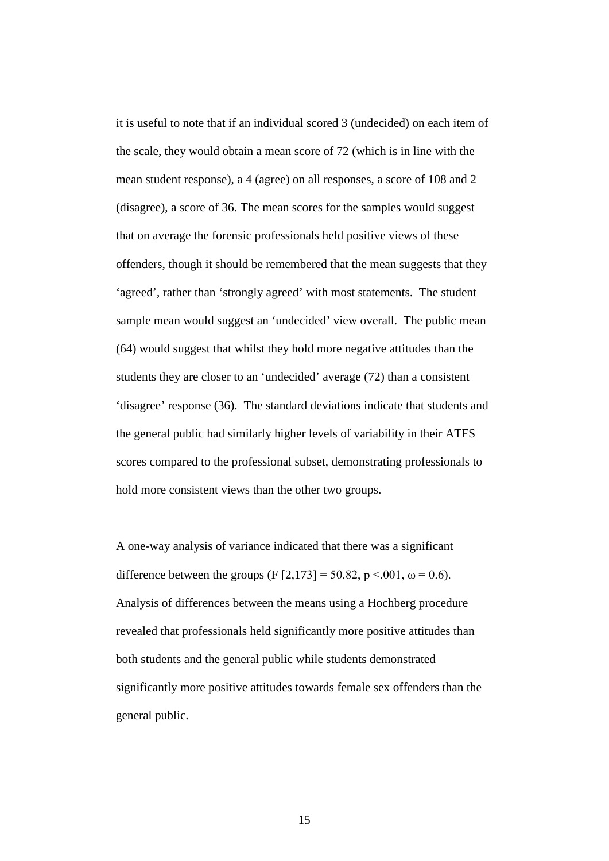it is useful to note that if an individual scored 3 (undecided) on each item of the scale, they would obtain a mean score of 72 (which is in line with the mean student response), a 4 (agree) on all responses, a score of 108 and 2 (disagree), a score of 36. The mean scores for the samples would suggest that on average the forensic professionals held positive views of these offenders, though it should be remembered that the mean suggests that they 'agreed', rather than 'strongly agreed' with most statements. The student sample mean would suggest an 'undecided' view overall. The public mean (64) would suggest that whilst they hold more negative attitudes than the students they are closer to an 'undecided' average (72) than a consistent 'disagree' response (36). The standard deviations indicate that students and the general public had similarly higher levels of variability in their ATFS scores compared to the professional subset, demonstrating professionals to hold more consistent views than the other two groups.

A one-way analysis of variance indicated that there was a significant difference between the groups (F [2,173] = 50.82, p <.001,  $\omega$  = 0.6). Analysis of differences between the means using a Hochberg procedure revealed that professionals held significantly more positive attitudes than both students and the general public while students demonstrated significantly more positive attitudes towards female sex offenders than the general public.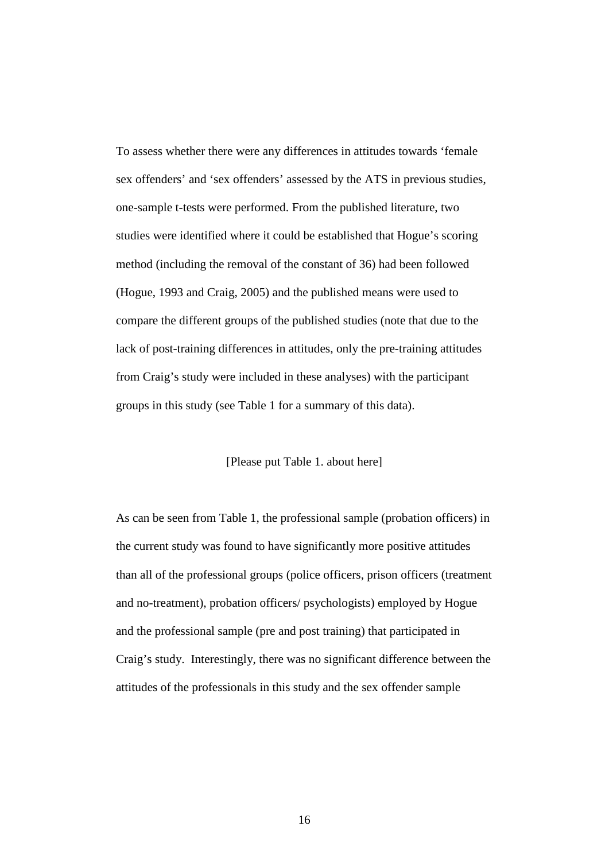To assess whether there were any differences in attitudes towards 'female sex offenders' and 'sex offenders' assessed by the ATS in previous studies, one-sample t-tests were performed. From the published literature, two studies were identified where it could be established that Hogue's scoring method (including the removal of the constant of 36) had been followed (Hogue, 1993 and Craig, 2005) and the published means were used to compare the different groups of the published studies (note that due to the lack of post-training differences in attitudes, only the pre-training attitudes from Craig's study were included in these analyses) with the participant groups in this study (see Table 1 for a summary of this data).

## [Please put Table 1. about here]

As can be seen from Table 1, the professional sample (probation officers) in the current study was found to have significantly more positive attitudes than all of the professional groups (police officers, prison officers (treatment and no-treatment), probation officers/ psychologists) employed by Hogue and the professional sample (pre and post training) that participated in Craig's study. Interestingly, there was no significant difference between the attitudes of the professionals in this study and the sex offender sample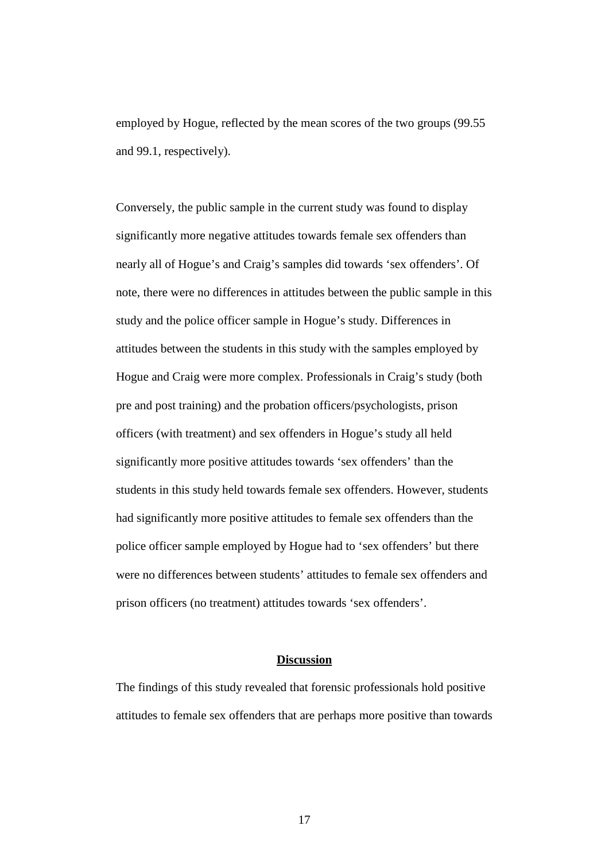employed by Hogue, reflected by the mean scores of the two groups (99.55 and 99.1, respectively).

Conversely, the public sample in the current study was found to display significantly more negative attitudes towards female sex offenders than nearly all of Hogue's and Craig's samples did towards 'sex offenders'. Of note, there were no differences in attitudes between the public sample in this study and the police officer sample in Hogue's study. Differences in attitudes between the students in this study with the samples employed by Hogue and Craig were more complex. Professionals in Craig's study (both pre and post training) and the probation officers/psychologists, prison officers (with treatment) and sex offenders in Hogue's study all held significantly more positive attitudes towards 'sex offenders' than the students in this study held towards female sex offenders. However, students had significantly more positive attitudes to female sex offenders than the police officer sample employed by Hogue had to 'sex offenders' but there were no differences between students' attitudes to female sex offenders and prison officers (no treatment) attitudes towards 'sex offenders'.

#### **Discussion**

The findings of this study revealed that forensic professionals hold positive attitudes to female sex offenders that are perhaps more positive than towards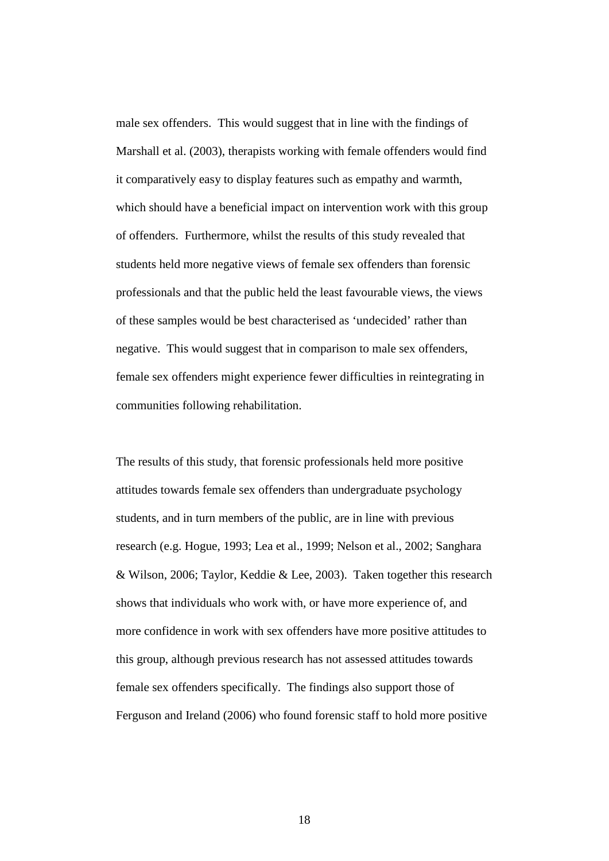male sex offenders. This would suggest that in line with the findings of Marshall et al. (2003), therapists working with female offenders would find it comparatively easy to display features such as empathy and warmth, which should have a beneficial impact on intervention work with this group of offenders. Furthermore, whilst the results of this study revealed that students held more negative views of female sex offenders than forensic professionals and that the public held the least favourable views, the views of these samples would be best characterised as 'undecided' rather than negative. This would suggest that in comparison to male sex offenders, female sex offenders might experience fewer difficulties in reintegrating in communities following rehabilitation.

The results of this study, that forensic professionals held more positive attitudes towards female sex offenders than undergraduate psychology students, and in turn members of the public, are in line with previous research (e.g. Hogue, 1993; Lea et al., 1999; Nelson et al., 2002; Sanghara & Wilson, 2006; Taylor, Keddie & Lee, 2003). Taken together this research shows that individuals who work with, or have more experience of, and more confidence in work with sex offenders have more positive attitudes to this group, although previous research has not assessed attitudes towards female sex offenders specifically. The findings also support those of Ferguson and Ireland (2006) who found forensic staff to hold more positive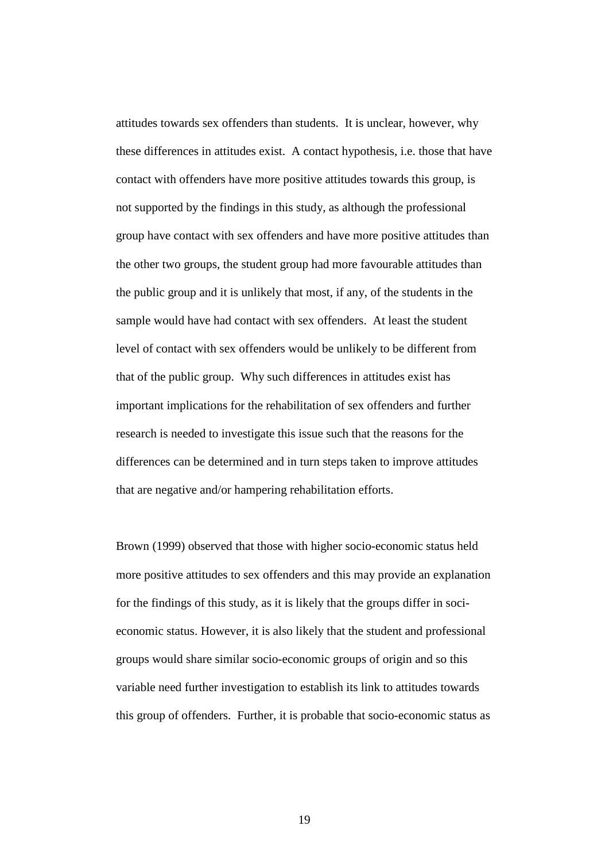attitudes towards sex offenders than students. It is unclear, however, why these differences in attitudes exist. A contact hypothesis, i.e. those that have contact with offenders have more positive attitudes towards this group, is not supported by the findings in this study, as although the professional group have contact with sex offenders and have more positive attitudes than the other two groups, the student group had more favourable attitudes than the public group and it is unlikely that most, if any, of the students in the sample would have had contact with sex offenders. At least the student level of contact with sex offenders would be unlikely to be different from that of the public group. Why such differences in attitudes exist has important implications for the rehabilitation of sex offenders and further research is needed to investigate this issue such that the reasons for the differences can be determined and in turn steps taken to improve attitudes that are negative and/or hampering rehabilitation efforts.

Brown (1999) observed that those with higher socio-economic status held more positive attitudes to sex offenders and this may provide an explanation for the findings of this study, as it is likely that the groups differ in socieconomic status. However, it is also likely that the student and professional groups would share similar socio-economic groups of origin and so this variable need further investigation to establish its link to attitudes towards this group of offenders. Further, it is probable that socio-economic status as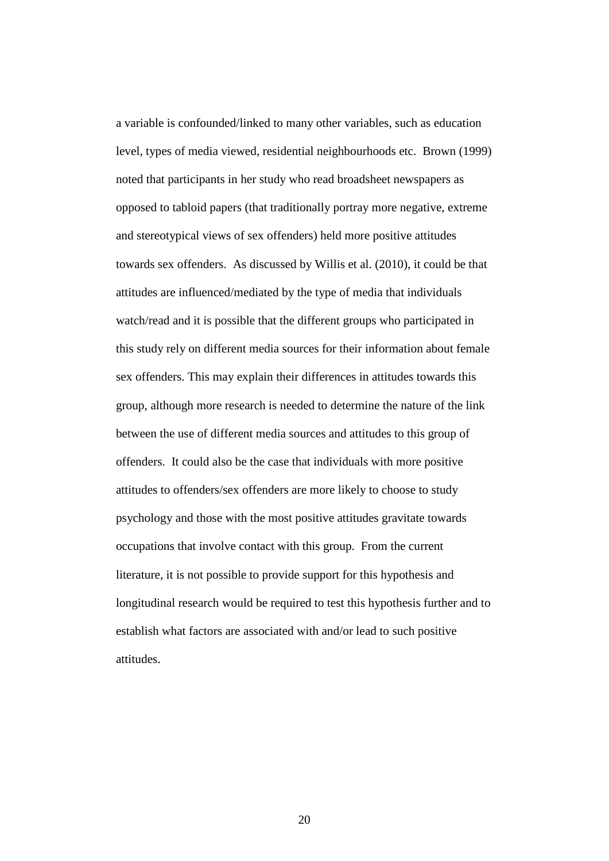a variable is confounded/linked to many other variables, such as education level, types of media viewed, residential neighbourhoods etc. Brown (1999) noted that participants in her study who read broadsheet newspapers as opposed to tabloid papers (that traditionally portray more negative, extreme and stereotypical views of sex offenders) held more positive attitudes towards sex offenders. As discussed by Willis et al. (2010), it could be that attitudes are influenced/mediated by the type of media that individuals watch/read and it is possible that the different groups who participated in this study rely on different media sources for their information about female sex offenders. This may explain their differences in attitudes towards this group, although more research is needed to determine the nature of the link between the use of different media sources and attitudes to this group of offenders. It could also be the case that individuals with more positive attitudes to offenders/sex offenders are more likely to choose to study psychology and those with the most positive attitudes gravitate towards occupations that involve contact with this group. From the current literature, it is not possible to provide support for this hypothesis and longitudinal research would be required to test this hypothesis further and to establish what factors are associated with and/or lead to such positive attitudes.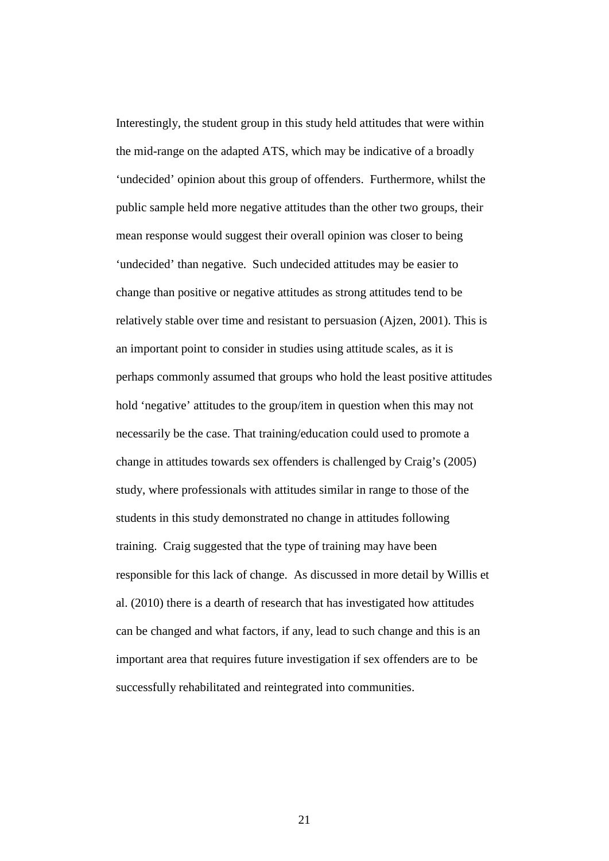Interestingly, the student group in this study held attitudes that were within the mid-range on the adapted ATS, which may be indicative of a broadly 'undecided' opinion about this group of offenders. Furthermore, whilst the public sample held more negative attitudes than the other two groups, their mean response would suggest their overall opinion was closer to being 'undecided' than negative. Such undecided attitudes may be easier to change than positive or negative attitudes as strong attitudes tend to be relatively stable over time and resistant to persuasion (Ajzen, 2001). This is an important point to consider in studies using attitude scales, as it is perhaps commonly assumed that groups who hold the least positive attitudes hold 'negative' attitudes to the group/item in question when this may not necessarily be the case. That training/education could used to promote a change in attitudes towards sex offenders is challenged by Craig's (2005) study, where professionals with attitudes similar in range to those of the students in this study demonstrated no change in attitudes following training. Craig suggested that the type of training may have been responsible for this lack of change. As discussed in more detail by Willis et al. (2010) there is a dearth of research that has investigated how attitudes can be changed and what factors, if any, lead to such change and this is an important area that requires future investigation if sex offenders are to be successfully rehabilitated and reintegrated into communities.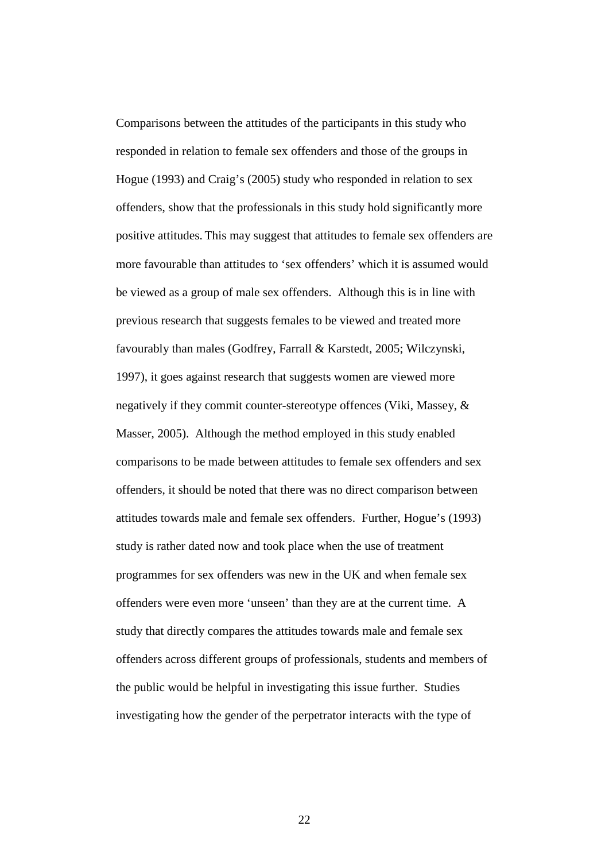Comparisons between the attitudes of the participants in this study who responded in relation to female sex offenders and those of the groups in Hogue (1993) and Craig's (2005) study who responded in relation to sex offenders, show that the professionals in this study hold significantly more positive attitudes. This may suggest that attitudes to female sex offenders are more favourable than attitudes to 'sex offenders' which it is assumed would be viewed as a group of male sex offenders. Although this is in line with previous research that suggests females to be viewed and treated more favourably than males (Godfrey, Farrall & Karstedt, 2005; Wilczynski, 1997), it goes against research that suggests women are viewed more negatively if they commit counter-stereotype offences (Viki, Massey, & Masser, 2005). Although the method employed in this study enabled comparisons to be made between attitudes to female sex offenders and sex offenders, it should be noted that there was no direct comparison between attitudes towards male and female sex offenders. Further, Hogue's (1993) study is rather dated now and took place when the use of treatment programmes for sex offenders was new in the UK and when female sex offenders were even more 'unseen' than they are at the current time. A study that directly compares the attitudes towards male and female sex offenders across different groups of professionals, students and members of the public would be helpful in investigating this issue further. Studies investigating how the gender of the perpetrator interacts with the type of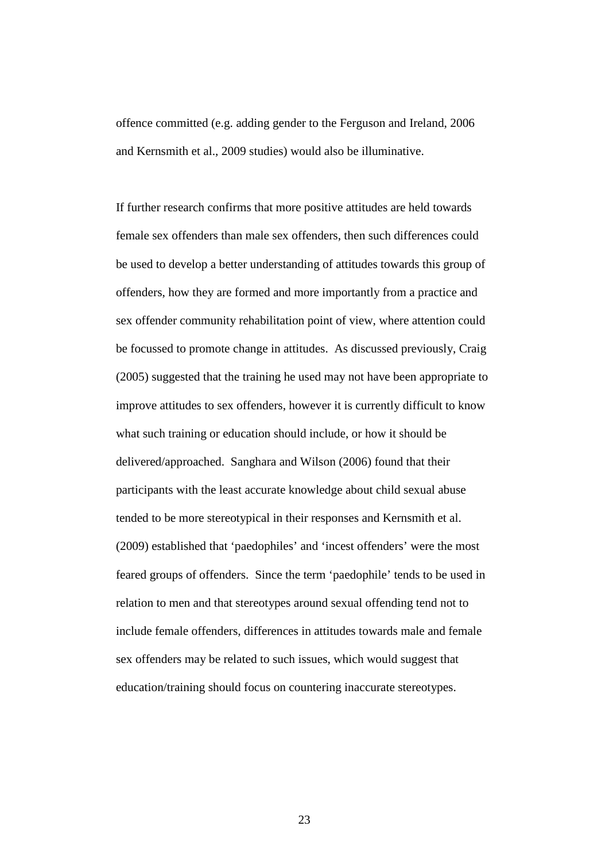offence committed (e.g. adding gender to the Ferguson and Ireland, 2006 and Kernsmith et al., 2009 studies) would also be illuminative.

If further research confirms that more positive attitudes are held towards female sex offenders than male sex offenders, then such differences could be used to develop a better understanding of attitudes towards this group of offenders, how they are formed and more importantly from a practice and sex offender community rehabilitation point of view, where attention could be focussed to promote change in attitudes. As discussed previously, Craig (2005) suggested that the training he used may not have been appropriate to improve attitudes to sex offenders, however it is currently difficult to know what such training or education should include, or how it should be delivered/approached. Sanghara and Wilson (2006) found that their participants with the least accurate knowledge about child sexual abuse tended to be more stereotypical in their responses and Kernsmith et al. (2009) established that 'paedophiles' and 'incest offenders' were the most feared groups of offenders. Since the term 'paedophile' tends to be used in relation to men and that stereotypes around sexual offending tend not to include female offenders, differences in attitudes towards male and female sex offenders may be related to such issues, which would suggest that education/training should focus on countering inaccurate stereotypes.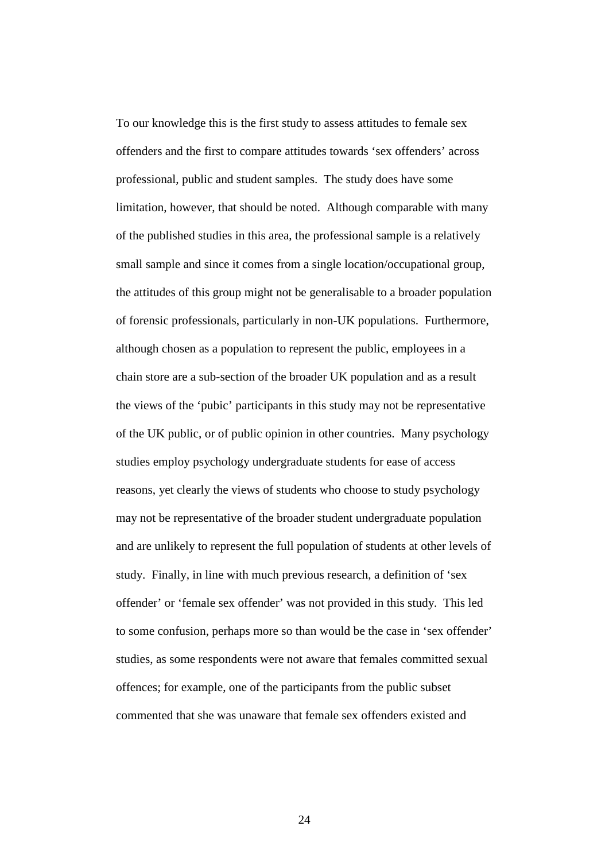To our knowledge this is the first study to assess attitudes to female sex offenders and the first to compare attitudes towards 'sex offenders' across professional, public and student samples. The study does have some limitation, however, that should be noted. Although comparable with many of the published studies in this area, the professional sample is a relatively small sample and since it comes from a single location/occupational group, the attitudes of this group might not be generalisable to a broader population of forensic professionals, particularly in non-UK populations. Furthermore, although chosen as a population to represent the public, employees in a chain store are a sub-section of the broader UK population and as a result the views of the 'pubic' participants in this study may not be representative of the UK public, or of public opinion in other countries. Many psychology studies employ psychology undergraduate students for ease of access reasons, yet clearly the views of students who choose to study psychology may not be representative of the broader student undergraduate population and are unlikely to represent the full population of students at other levels of study. Finally, in line with much previous research, a definition of 'sex offender' or 'female sex offender' was not provided in this study. This led to some confusion, perhaps more so than would be the case in 'sex offender' studies, as some respondents were not aware that females committed sexual offences; for example, one of the participants from the public subset commented that she was unaware that female sex offenders existed and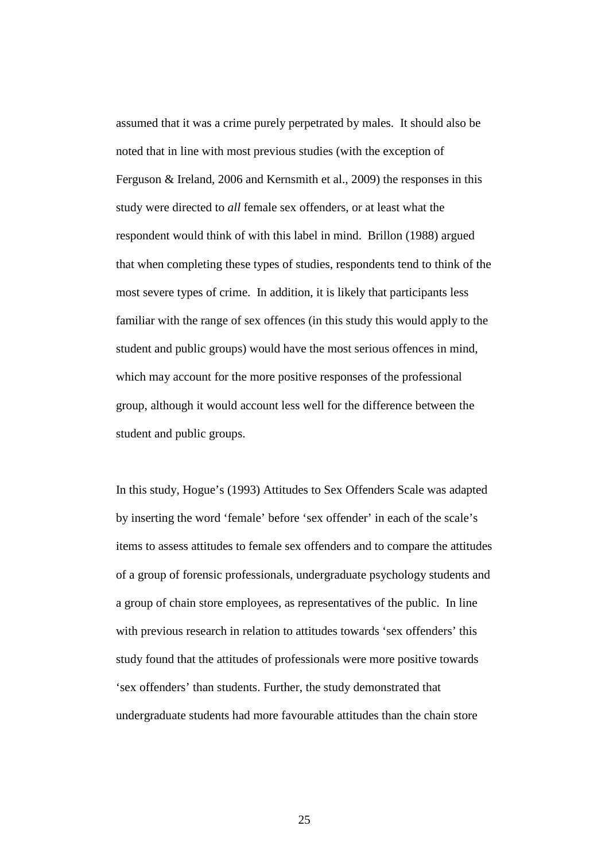assumed that it was a crime purely perpetrated by males. It should also be noted that in line with most previous studies (with the exception of Ferguson & Ireland, 2006 and Kernsmith et al., 2009) the responses in this study were directed to *all* female sex offenders, or at least what the respondent would think of with this label in mind. Brillon (1988) argued that when completing these types of studies, respondents tend to think of the most severe types of crime. In addition, it is likely that participants less familiar with the range of sex offences (in this study this would apply to the student and public groups) would have the most serious offences in mind, which may account for the more positive responses of the professional group, although it would account less well for the difference between the student and public groups.

In this study, Hogue's (1993) Attitudes to Sex Offenders Scale was adapted by inserting the word 'female' before 'sex offender' in each of the scale's items to assess attitudes to female sex offenders and to compare the attitudes of a group of forensic professionals, undergraduate psychology students and a group of chain store employees, as representatives of the public. In line with previous research in relation to attitudes towards 'sex offenders' this study found that the attitudes of professionals were more positive towards 'sex offenders' than students. Further, the study demonstrated that undergraduate students had more favourable attitudes than the chain store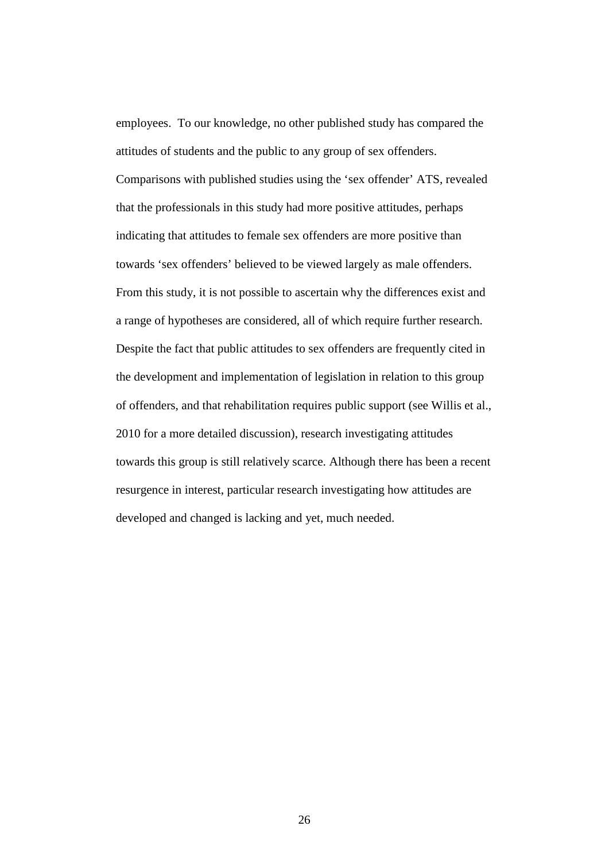employees. To our knowledge, no other published study has compared the attitudes of students and the public to any group of sex offenders. Comparisons with published studies using the 'sex offender' ATS, revealed that the professionals in this study had more positive attitudes, perhaps indicating that attitudes to female sex offenders are more positive than towards 'sex offenders' believed to be viewed largely as male offenders. From this study, it is not possible to ascertain why the differences exist and a range of hypotheses are considered, all of which require further research. Despite the fact that public attitudes to sex offenders are frequently cited in the development and implementation of legislation in relation to this group of offenders, and that rehabilitation requires public support (see Willis et al., 2010 for a more detailed discussion), research investigating attitudes towards this group is still relatively scarce. Although there has been a recent resurgence in interest, particular research investigating how attitudes are developed and changed is lacking and yet, much needed.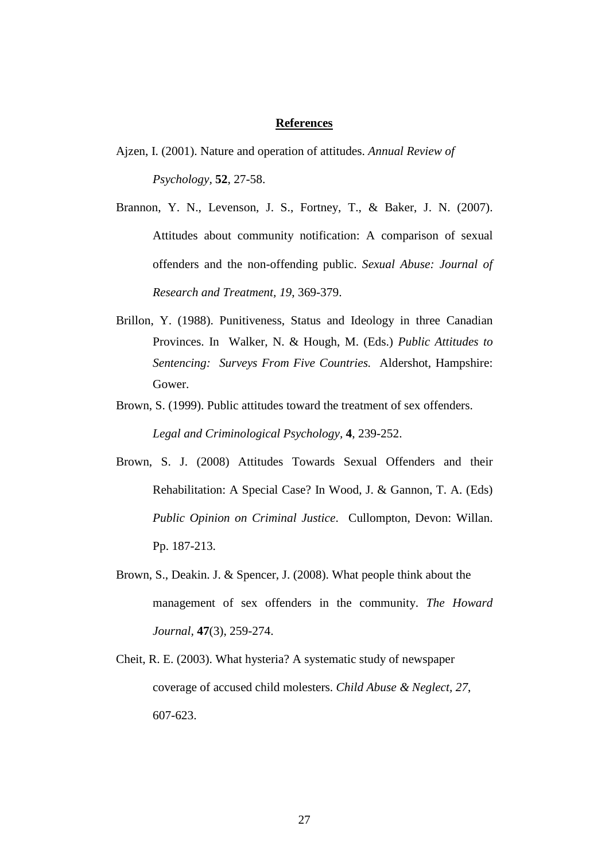## **References**

- Ajzen, I. (2001). Nature and operation of attitudes. *Annual Review of Psychology,* **52**, 27-58.
- Brannon, Y. N., Levenson, J. S., Fortney, T., & Baker, J. N. (2007). Attitudes about community notification: A comparison of sexual offenders and the non-offending public. *Sexual Abuse: Journal of Research and Treatment, 19*, 369-379.
- Brillon, Y. (1988). Punitiveness, Status and Ideology in three Canadian Provinces. In Walker, N. & Hough, M. (Eds.) *Public Attitudes to Sentencing: Surveys From Five Countries.* Aldershot, Hampshire: Gower.
- Brown, S. (1999). Public attitudes toward the treatment of sex offenders. *Legal and Criminological Psychology,* **4**, 239-252.
- Brown, S. J. (2008) Attitudes Towards Sexual Offenders and their Rehabilitation: A Special Case? In Wood, J. & Gannon, T. A. (Eds) *Public Opinion on Criminal Justice*. Cullompton, Devon: Willan. Pp. 187-213.
- Brown, S., Deakin. J. & Spencer, J. (2008). What people think about the management of sex offenders in the community. *The Howard Journal,* **47**(3), 259-274.
- Cheit, R. E. (2003). What hysteria? A systematic study of newspaper coverage of accused child molesters. *Child Abuse & Neglect, 27*, 607-623.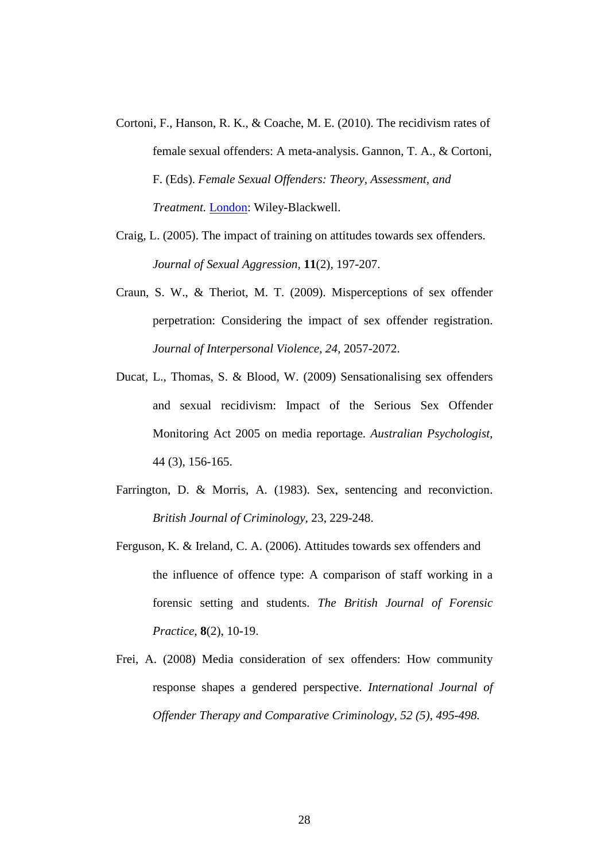- Cortoni, F., Hanson, R. K., & Coache, M. E. (2010). The recidivism rates of female sexual offenders: A meta-analysis. Gannon, T. A., & Cortoni, F. (Eds). *Female Sexual Offenders: Theory, Assessment, and Treatment.* London: Wiley-Blackwell.
- Craig, L. (2005). The impact of training on attitudes towards sex offenders. *Journal of Sexual Aggression,* **11**(2), 197-207.
- Craun, S. W., & Theriot, M. T. (2009). Misperceptions of sex offender perpetration: Considering the impact of sex offender registration. *Journal of Interpersonal Violence, 24*, 2057-2072.
- Ducat, L., Thomas, S. & Blood, W. (2009) Sensationalising sex offenders and sexual recidivism: Impact of the Serious Sex Offender Monitoring Act 2005 on media reportage. *Australian Psychologist*, 44 (3), 156-165.
- Farrington, D. & Morris, A. (1983). Sex, sentencing and reconviction. *British Journal of Criminology,* 23, 229-248.
- Ferguson, K. & Ireland, C. A. (2006). Attitudes towards sex offenders and the influence of offence type: A comparison of staff working in a forensic setting and students. *The British Journal of Forensic Practice,* **8**(2), 10-19.
- Frei, A. (2008) Media consideration of sex offenders: How community response shapes a gendered perspective. *International Journal of Offender Therapy and Comparative Criminology, 52 (5), 495-498.*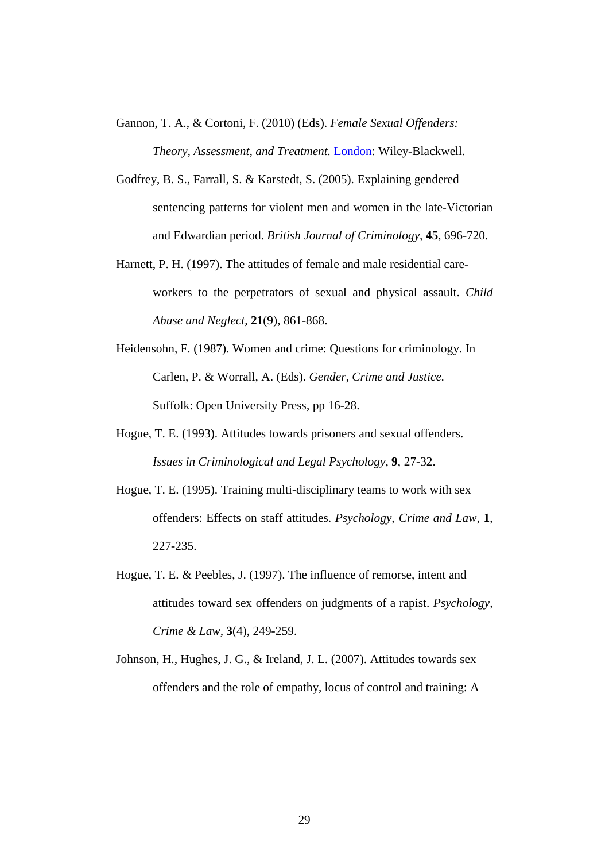Gannon, T. A., & Cortoni, F. (2010) (Eds). *Female Sexual Offenders: Theory, Assessment, and Treatment.* London: Wiley-Blackwell.

- Godfrey, B. S., Farrall, S. & Karstedt, S. (2005). Explaining gendered sentencing patterns for violent men and women in the late-Victorian and Edwardian period. *British Journal of Criminology,* **45**, 696-720.
- Harnett, P. H. (1997). The attitudes of female and male residential careworkers to the perpetrators of sexual and physical assault. *Child Abuse and Neglect,* **21**(9), 861-868.
- Heidensohn, F. (1987). Women and crime: Questions for criminology. In Carlen, P. & Worrall, A. (Eds). *Gender, Crime and Justice.*  Suffolk: Open University Press, pp 16-28.
- Hogue, T. E. (1993). Attitudes towards prisoners and sexual offenders. *Issues in Criminological and Legal Psychology,* **9**, 27-32.
- Hogue, T. E. (1995). Training multi-disciplinary teams to work with sex offenders: Effects on staff attitudes. *Psychology, Crime and Law,* **1**, 227-235.
- Hogue, T. E. & Peebles, J. (1997). The influence of remorse, intent and attitudes toward sex offenders on judgments of a rapist. *[Psychology,](http://www.informaworld.com/smpp/title~db=all~content=t713647155)  [Crime & Law,](http://www.informaworld.com/smpp/title~db=all~content=t713647155)* **[3](http://www.informaworld.com/smpp/title~db=all~content=t713647155~tab=issueslist~branches=3#v3)**[\(4\),](http://www.informaworld.com/smpp/title~db=all~content=g789215500) 249-259.
- Johnson, H., Hughes, J. G., & Ireland, J. L. (2007). Attitudes towards sex offenders and the role of empathy, locus of control and training: A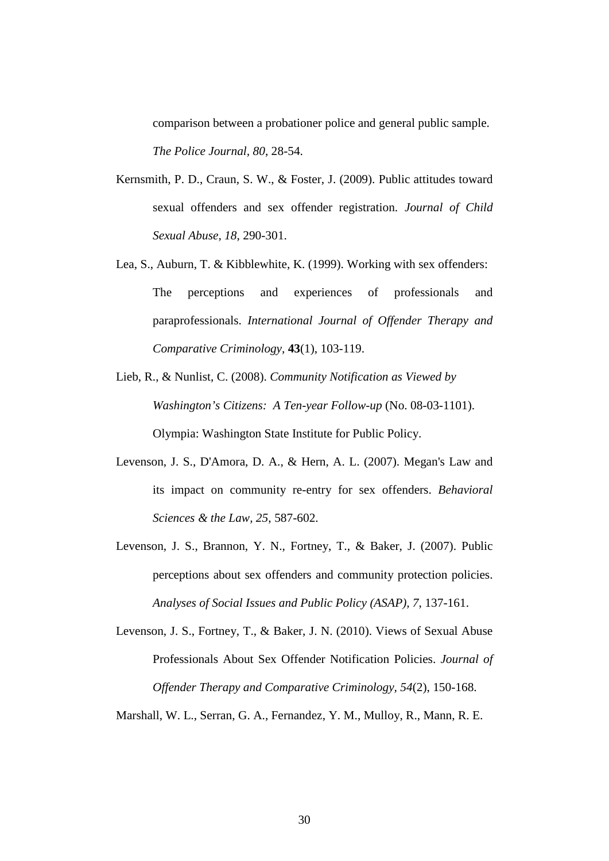comparison between a probationer police and general public sample. *The Police Journal, 80*, 28-54.

- Kernsmith, P. D., Craun, S. W., & Foster, J. (2009). Public attitudes toward sexual offenders and sex offender registration. *Journal of Child Sexual Abuse, 18*, 290-301.
- Lea, S., Auburn, T. & Kibblewhite, K. (1999). Working with sex offenders: The perceptions and experiences of professionals and paraprofessionals. *International Journal of Offender Therapy and Comparative Criminology,* **43**(1), 103-119.
- Lieb, R., & Nunlist, C. (2008). *Community Notification as Viewed by Washington's Citizens: A Ten-year Follow-up* (No. 08-03-1101). Olympia: Washington State Institute for Public Policy.
- Levenson, J. S., D'Amora, D. A., & Hern, A. L. (2007). Megan's Law and its impact on community re-entry for sex offenders. *Behavioral Sciences & the Law, 25*, 587-602.
- Levenson, J. S., Brannon, Y. N., Fortney, T., & Baker, J. (2007). Public perceptions about sex offenders and community protection policies. *Analyses of Social Issues and Public Policy (ASAP), 7*, 137-161.
- Levenson, J. S., Fortney, T., & Baker, J. N. (2010). Views of Sexual Abuse Professionals About Sex Offender Notification Policies. *Journal of Offender Therapy and Comparative Criminology, 54*(2), 150-168.

Marshall, W. L., Serran, G. A., Fernandez, Y. M., Mulloy, R., Mann, R. E.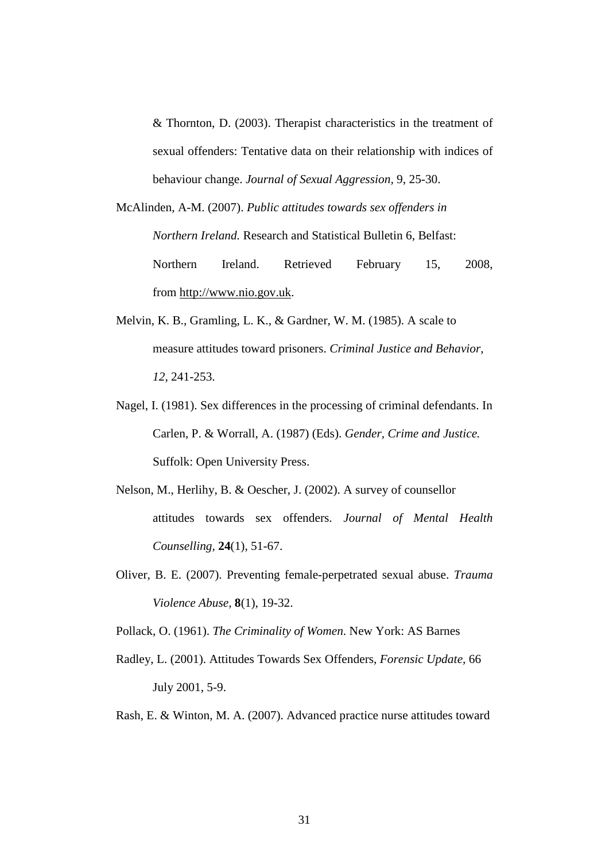& Thornton, D. (2003). Therapist characteristics in the treatment of sexual offenders: Tentative data on their relationship with indices of behaviour change. *Journal of Sexual Aggression,* 9, 25-30.

- McAlinden, A-M. (2007). *Public attitudes towards sex offenders in Northern Ireland.* Research and Statistical Bulletin 6, Belfast: Northern Ireland. Retrieved February 15, 2008, from [http://www.nio.gov.uk.](http://www.nio.gov.uk/)
- Melvin, K. B., Gramling, L. K., & Gardner, W. M. (1985). A scale to measure attitudes toward prisoners. *Criminal Justice and Behavior, 12*, 241-253.
- Nagel, I. (1981). Sex differences in the processing of criminal defendants. In Carlen, P. & Worrall, A. (1987) (Eds). *Gender, Crime and Justice.*  Suffolk: Open University Press.
- Nelson, M., Herlihy, B. & Oescher, J. (2002). A survey of counsellor attitudes towards sex offenders. *Journal of Mental Health Counselling,* **24**(1), 51-67.
- Oliver, B. E. (2007). Preventing female-perpetrated sexual abuse. *Trauma Violence Abuse,* **8**(1), 19-32.

Pollack, O. (1961). *The Criminality of Women*. New York: AS Barnes

- Radley, L. (2001). Attitudes Towards Sex Offenders, *Forensic Update,* 66 July 2001, 5-9.
- Rash, E. & Winton, M. A. (2007). Advanced practice nurse attitudes toward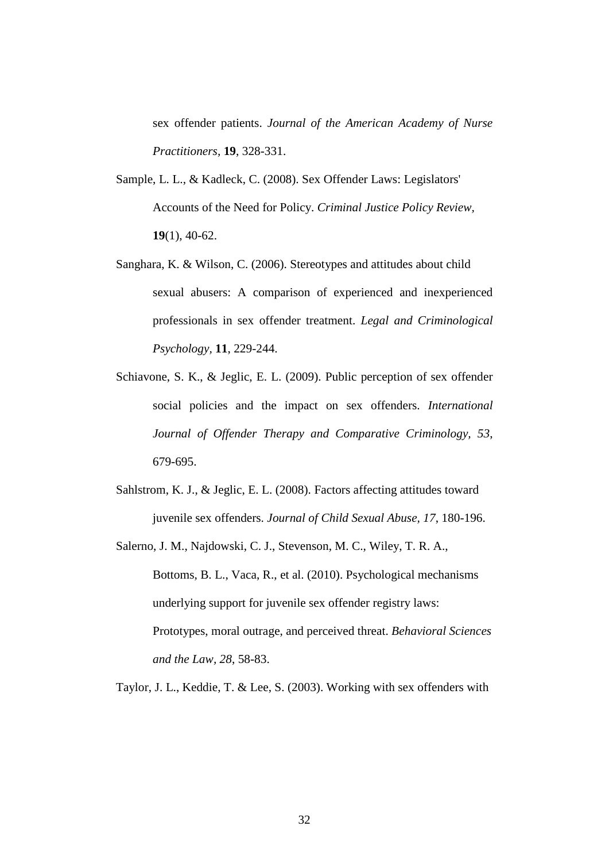sex offender patients. *Journal of the American Academy of Nurse Practitioners,* **19**, 328-331.

- Sample, L. L., & Kadleck, C. (2008). Sex Offender Laws: Legislators' Accounts of the Need for Policy. *Criminal Justice Policy Review,*  **19**(1), 40-62.
- Sanghara, K. & Wilson, C. (2006). Stereotypes and attitudes about child sexual abusers: A comparison of experienced and inexperienced professionals in sex offender treatment. *Legal and Criminological Psychology,* **11**, 229-244.
- Schiavone, S. K., & Jeglic, E. L. (2009). Public perception of sex offender social policies and the impact on sex offenders. *International Journal of Offender Therapy and Comparative Criminology, 53*, 679-695.
- Sahlstrom, K. J., & Jeglic, E. L. (2008). Factors affecting attitudes toward juvenile sex offenders. *Journal of Child Sexual Abuse, 17*, 180-196.
- Salerno, J. M., Najdowski, C. J., Stevenson, M. C., Wiley, T. R. A., Bottoms, B. L., Vaca, R., et al. (2010). Psychological mechanisms underlying support for juvenile sex offender registry laws: Prototypes, moral outrage, and perceived threat. *Behavioral Sciences and the Law, 28*, 58-83.

Taylor, J. L., Keddie, T. & Lee, S. (2003). Working with sex offenders with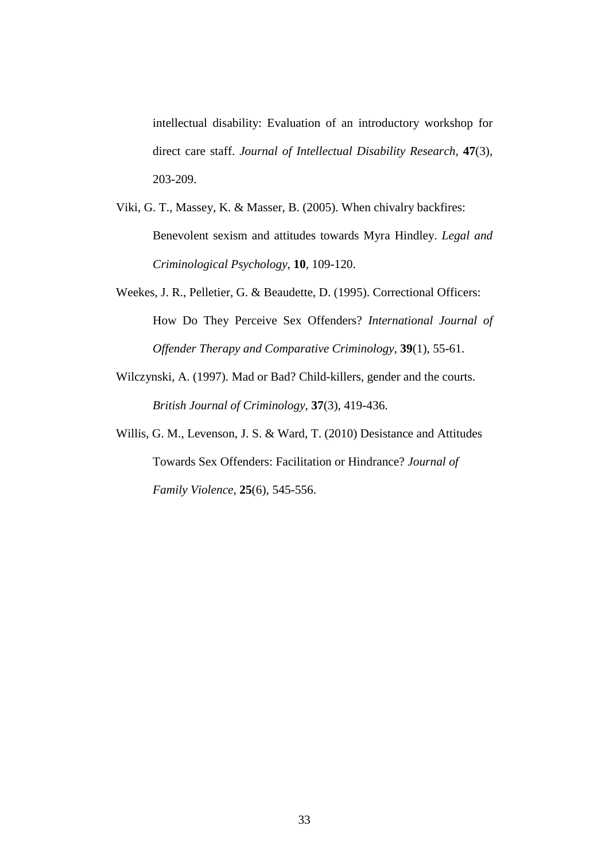intellectual disability: Evaluation of an introductory workshop for direct care staff. *Journal of Intellectual Disability Research,* **47**(3), 203-209.

- Viki, G. T., Massey, K. & Masser, B. (2005). When chivalry backfires: Benevolent sexism and attitudes towards Myra Hindley. *Legal and Criminological Psychology,* **10**, 109-120.
- Weekes, J. R., Pelletier, G. & Beaudette, D. (1995). Correctional Officers: How Do They Perceive Sex Offenders? *International Journal of Offender Therapy and Comparative Criminology,* **39**(1), 55-61.
- Wilczynski, A. (1997). Mad or Bad? Child-killers, gender and the courts. *British Journal of Criminology,* **37**(3), 419-436.
- Willis, G. M., Levenson, J. S. & Ward, T. (2010) Desistance and Attitudes Towards Sex Offenders: Facilitation or Hindrance? *Journal of Family Violence*, **25**(6), 545-556.